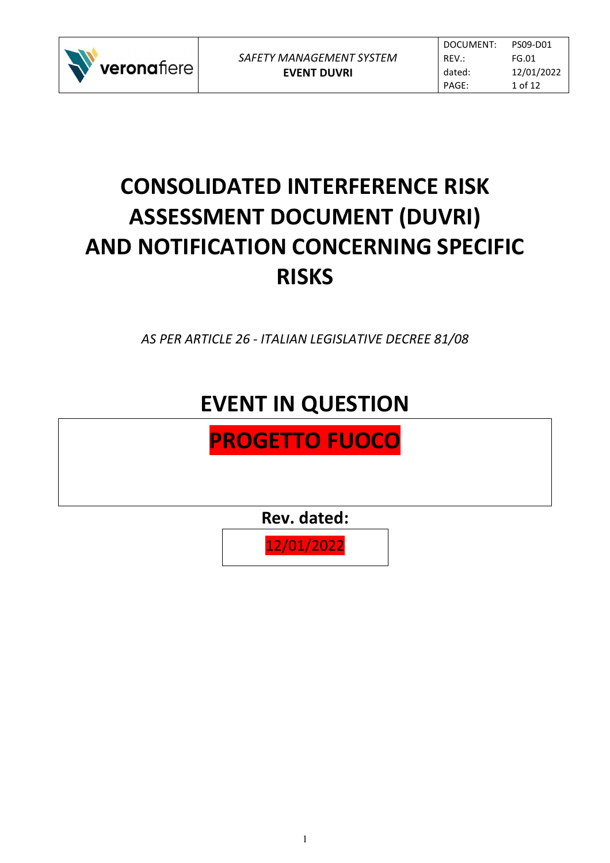

# **CONSOLIDATED INTERFERENCE RISK ASSESSMENT DOCUMENT (DUVRI) AND NOTIFICATION CONCERNING SPECIFIC RISKS**

*AS PER ARTICLE 26 - ITALIAN LEGISLATIVE DECREE 81/08* 

## **EVENT IN QUESTION**

## **PROGETTO FUOCO**

**Rev. dated:** 

12/01/2022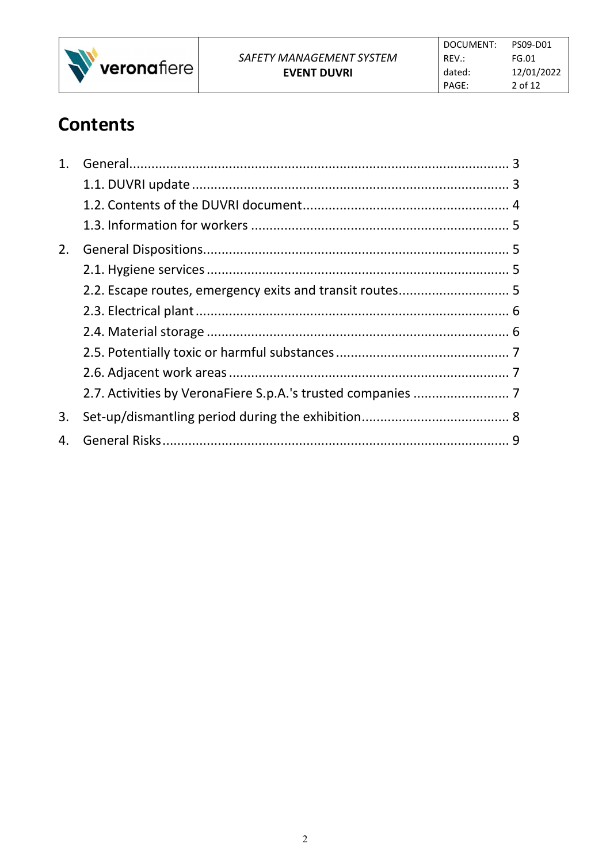

### **Contents**

| 1. |  |
|----|--|
|    |  |
|    |  |
|    |  |
| 2. |  |
|    |  |
|    |  |
|    |  |
|    |  |
|    |  |
|    |  |
|    |  |
| 3. |  |
| 4. |  |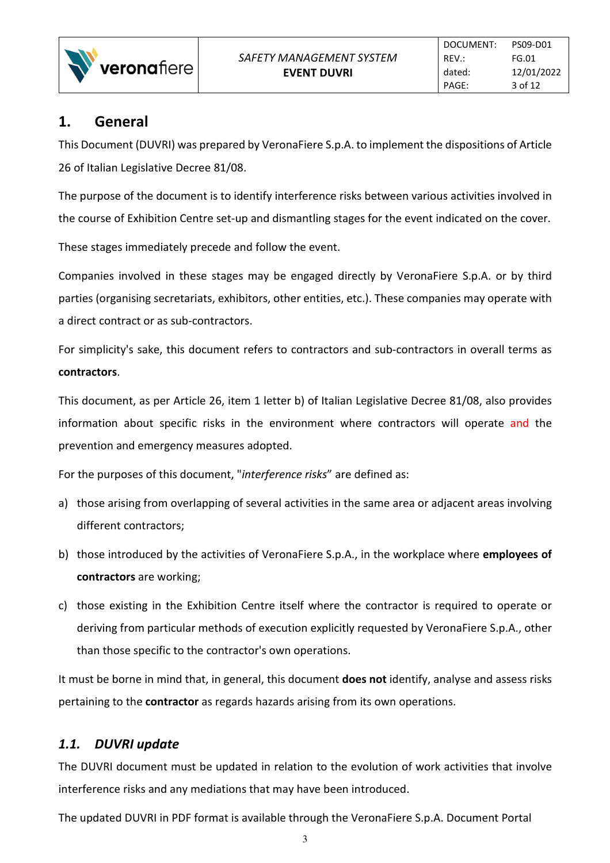

#### **1. General**

This Document (DUVRI) was prepared by VeronaFiere S.p.A. to implement the dispositions of Article 26 of Italian Legislative Decree 81/08.

The purpose of the document is to identify interference risks between various activities involved in the course of Exhibition Centre set-up and dismantling stages for the event indicated on the cover.

These stages immediately precede and follow the event.

Companies involved in these stages may be engaged directly by VeronaFiere S.p.A. or by third parties (organising secretariats, exhibitors, other entities, etc.). These companies may operate with a direct contract or as sub-contractors.

For simplicity's sake, this document refers to contractors and sub-contractors in overall terms as **contractors**.

This document, as per Article 26, item 1 letter b) of Italian Legislative Decree 81/08, also provides information about specific risks in the environment where contractors will operate and the prevention and emergency measures adopted.

For the purposes of this document, "*interference risks*" are defined as:

- a) those arising from overlapping of several activities in the same area or adjacent areas involving different contractors;
- b) those introduced by the activities of VeronaFiere S.p.A., in the workplace where **employees of contractors** are working;
- c) those existing in the Exhibition Centre itself where the contractor is required to operate or deriving from particular methods of execution explicitly requested by VeronaFiere S.p.A., other than those specific to the contractor's own operations.

It must be borne in mind that, in general, this document **does not** identify, analyse and assess risks pertaining to the **contractor** as regards hazards arising from its own operations.

#### *1.1. DUVRI update*

The DUVRI document must be updated in relation to the evolution of work activities that involve interference risks and any mediations that may have been introduced.

The updated DUVRI in PDF format is available through the VeronaFiere S.p.A. Document Portal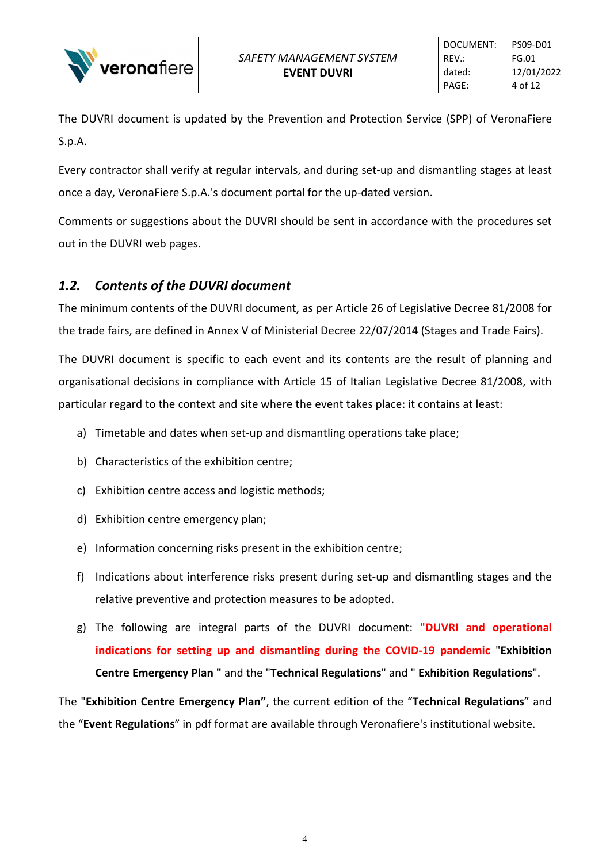

The DUVRI document is updated by the Prevention and Protection Service (SPP) of VeronaFiere S.p.A.

Every contractor shall verify at regular intervals, and during set-up and dismantling stages at least once a day, VeronaFiere S.p.A.'s document portal for the up-dated version.

Comments or suggestions about the DUVRI should be sent in accordance with the procedures set out in the DUVRI web pages.

#### *1.2. Contents of the DUVRI document*

The minimum contents of the DUVRI document, as per Article 26 of Legislative Decree 81/2008 for the trade fairs, are defined in Annex V of Ministerial Decree 22/07/2014 (Stages and Trade Fairs).

The DUVRI document is specific to each event and its contents are the result of planning and organisational decisions in compliance with Article 15 of Italian Legislative Decree 81/2008, with particular regard to the context and site where the event takes place: it contains at least:

- a) Timetable and dates when set-up and dismantling operations take place;
- b) Characteristics of the exhibition centre;
- c) Exhibition centre access and logistic methods;
- d) Exhibition centre emergency plan;
- e) Information concerning risks present in the exhibition centre;
- f) Indications about interference risks present during set-up and dismantling stages and the relative preventive and protection measures to be adopted.
- g) The following are integral parts of the DUVRI document: **"DUVRI and operational indications for setting up and dismantling during the COVID-19 pandemic** "**Exhibition Centre Emergency Plan "** and the "**Technical Regulations**" and " **Exhibition Regulations**".

The "**Exhibition Centre Emergency Plan"**, the current edition of the "**Technical Regulations**" and the "**Event Regulations**" in pdf format are available through Veronafiere's institutional website.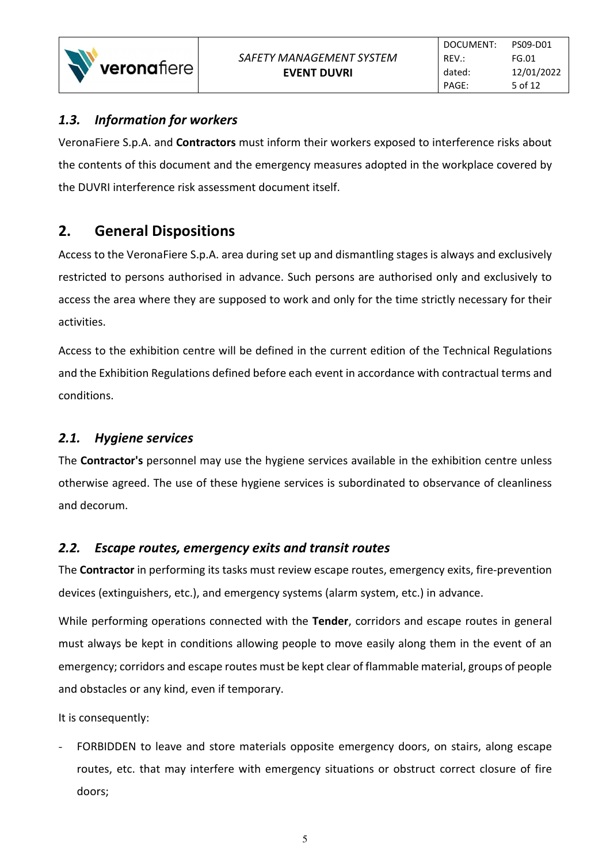#### *1.3. Information for workers*

veronafiere

VeronaFiere S.p.A. and **Contractors** must inform their workers exposed to interference risks about the contents of this document and the emergency measures adopted in the workplace covered by the DUVRI interference risk assessment document itself.

#### **2. General Dispositions**

Access to the VeronaFiere S.p.A. area during set up and dismantling stages is always and exclusively restricted to persons authorised in advance. Such persons are authorised only and exclusively to access the area where they are supposed to work and only for the time strictly necessary for their activities.

Access to the exhibition centre will be defined in the current edition of the Technical Regulations and the Exhibition Regulations defined before each event in accordance with contractual terms and conditions.

#### *2.1. Hygiene services*

The **Contractor's** personnel may use the hygiene services available in the exhibition centre unless otherwise agreed. The use of these hygiene services is subordinated to observance of cleanliness and decorum.

#### *2.2. Escape routes, emergency exits and transit routes*

The **Contractor** in performing its tasks must review escape routes, emergency exits, fire-prevention devices (extinguishers, etc.), and emergency systems (alarm system, etc.) in advance.

While performing operations connected with the **Tender**, corridors and escape routes in general must always be kept in conditions allowing people to move easily along them in the event of an emergency; corridors and escape routes must be kept clear of flammable material, groups of people and obstacles or any kind, even if temporary.

It is consequently:

FORBIDDEN to leave and store materials opposite emergency doors, on stairs, along escape routes, etc. that may interfere with emergency situations or obstruct correct closure of fire doors;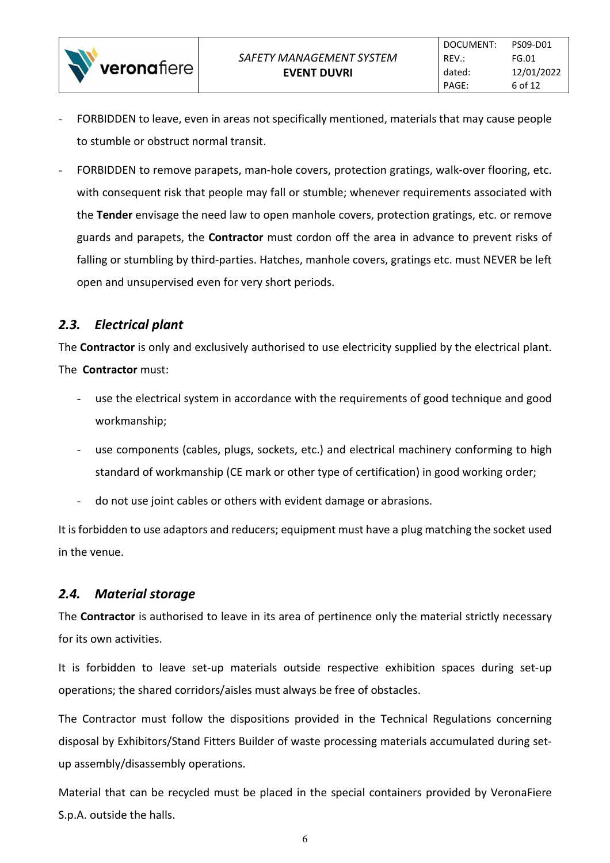- FORBIDDEN to leave, even in areas not specifically mentioned, materials that may cause people to stumble or obstruct normal transit.
- FORBIDDEN to remove parapets, man-hole covers, protection gratings, walk-over flooring, etc. with consequent risk that people may fall or stumble; whenever requirements associated with the **Tender** envisage the need law to open manhole covers, protection gratings, etc. or remove guards and parapets, the **Contractor** must cordon off the area in advance to prevent risks of falling or stumbling by third-parties. Hatches, manhole covers, gratings etc. must NEVER be left open and unsupervised even for very short periods.

#### *2.3. Electrical plant*

veronafiere

The **Contractor** is only and exclusively authorised to use electricity supplied by the electrical plant. The **Contractor** must:

- use the electrical system in accordance with the requirements of good technique and good workmanship;
- use components (cables, plugs, sockets, etc.) and electrical machinery conforming to high standard of workmanship (CE mark or other type of certification) in good working order;
- do not use joint cables or others with evident damage or abrasions.

It is forbidden to use adaptors and reducers; equipment must have a plug matching the socket used in the venue.

#### *2.4. Material storage*

The **Contractor** is authorised to leave in its area of pertinence only the material strictly necessary for its own activities.

It is forbidden to leave set-up materials outside respective exhibition spaces during set-up operations; the shared corridors/aisles must always be free of obstacles.

The Contractor must follow the dispositions provided in the Technical Regulations concerning disposal by Exhibitors/Stand Fitters Builder of waste processing materials accumulated during setup assembly/disassembly operations.

Material that can be recycled must be placed in the special containers provided by VeronaFiere S.p.A. outside the halls.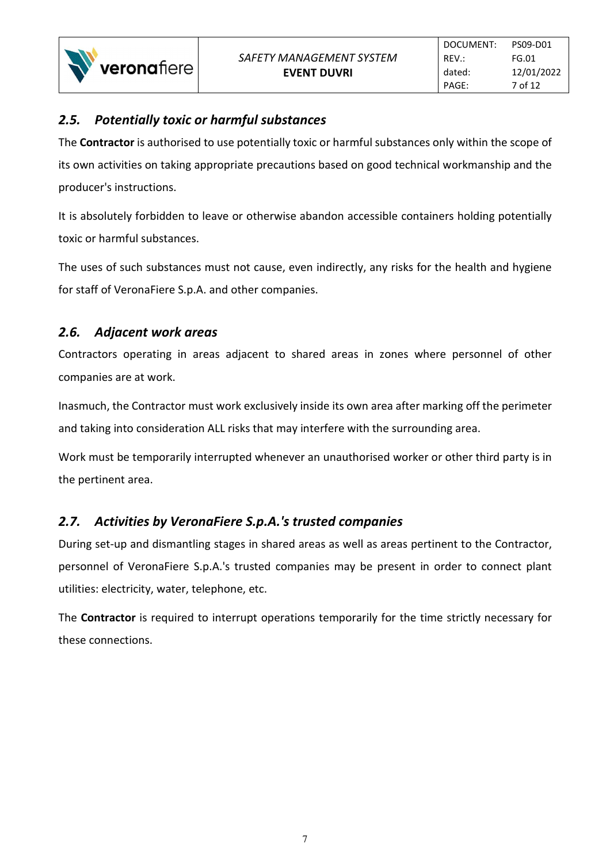#### *2.5. Potentially toxic or harmful substances*

The **Contractor** is authorised to use potentially toxic or harmful substances only within the scope of its own activities on taking appropriate precautions based on good technical workmanship and the producer's instructions.

It is absolutely forbidden to leave or otherwise abandon accessible containers holding potentially toxic or harmful substances.

The uses of such substances must not cause, even indirectly, any risks for the health and hygiene for staff of VeronaFiere S.p.A. and other companies.

#### *2.6. Adjacent work areas*

Contractors operating in areas adjacent to shared areas in zones where personnel of other companies are at work.

Inasmuch, the Contractor must work exclusively inside its own area after marking off the perimeter and taking into consideration ALL risks that may interfere with the surrounding area.

Work must be temporarily interrupted whenever an unauthorised worker or other third party is in the pertinent area.

#### *2.7. Activities by VeronaFiere S.p.A.'s trusted companies*

During set-up and dismantling stages in shared areas as well as areas pertinent to the Contractor, personnel of VeronaFiere S.p.A.'s trusted companies may be present in order to connect plant utilities: electricity, water, telephone, etc.

The **Contractor** is required to interrupt operations temporarily for the time strictly necessary for these connections.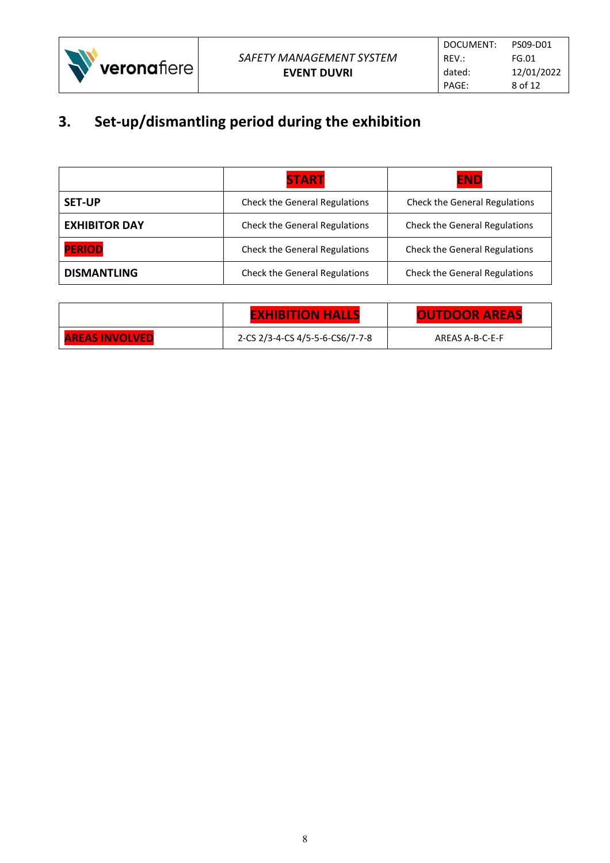

### **3. Set-up/dismantling period during the exhibition**

|                      | <b>START</b>                         | <b>END</b>                           |
|----------------------|--------------------------------------|--------------------------------------|
| <b>SET-UP</b>        | <b>Check the General Regulations</b> | <b>Check the General Regulations</b> |
| <b>EXHIBITOR DAY</b> | Check the General Regulations        | <b>Check the General Regulations</b> |
| <b>PERIOD</b>        | Check the General Regulations        | <b>Check the General Regulations</b> |
| <b>DISMANTLING</b>   | <b>Check the General Regulations</b> | <b>Check the General Regulations</b> |

|                       | <b>EXHIBITION HALLS</b>         | <b>OUTDOOR AREAS</b> |
|-----------------------|---------------------------------|----------------------|
| <b>AREAS INVOLVED</b> | 2-CS 2/3-4-CS 4/5-5-6-CS6/7-7-8 | AREAS A-B-C-E-F      |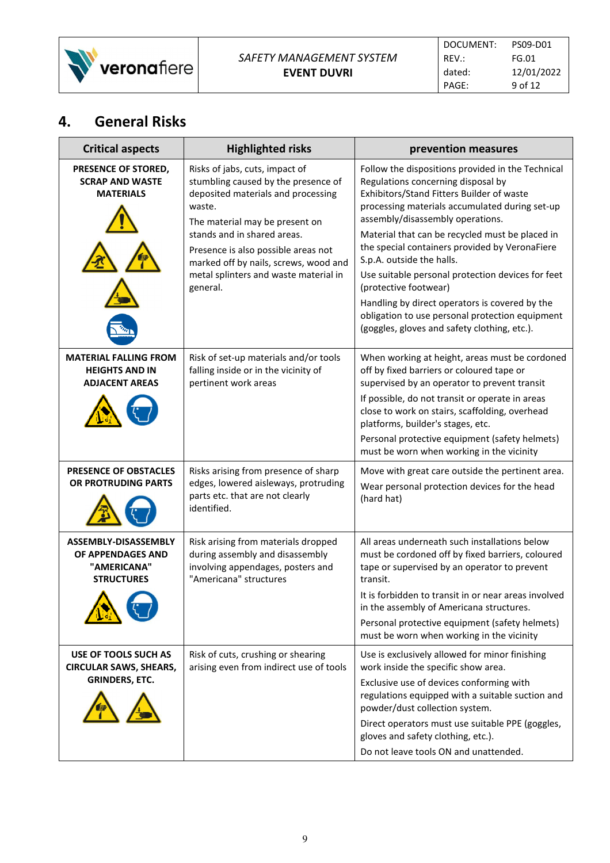

### **4. General Risks**

| <b>Critical aspects</b>                                                            | <b>Highlighted risks</b>                                                                                                                                                                                                                                                                                                    | prevention measures                                                                                                                                                                                                                                                                                                                                                                                                                                                                                                                                                                             |
|------------------------------------------------------------------------------------|-----------------------------------------------------------------------------------------------------------------------------------------------------------------------------------------------------------------------------------------------------------------------------------------------------------------------------|-------------------------------------------------------------------------------------------------------------------------------------------------------------------------------------------------------------------------------------------------------------------------------------------------------------------------------------------------------------------------------------------------------------------------------------------------------------------------------------------------------------------------------------------------------------------------------------------------|
| PRESENCE OF STORED,<br><b>SCRAP AND WASTE</b><br><b>MATERIALS</b>                  | Risks of jabs, cuts, impact of<br>stumbling caused by the presence of<br>deposited materials and processing<br>waste.<br>The material may be present on<br>stands and in shared areas.<br>Presence is also possible areas not<br>marked off by nails, screws, wood and<br>metal splinters and waste material in<br>general. | Follow the dispositions provided in the Technical<br>Regulations concerning disposal by<br>Exhibitors/Stand Fitters Builder of waste<br>processing materials accumulated during set-up<br>assembly/disassembly operations.<br>Material that can be recycled must be placed in<br>the special containers provided by VeronaFiere<br>S.p.A. outside the halls.<br>Use suitable personal protection devices for feet<br>(protective footwear)<br>Handling by direct operators is covered by the<br>obligation to use personal protection equipment<br>(goggles, gloves and safety clothing, etc.). |
| <b>MATERIAL FALLING FROM</b><br><b>HEIGHTS AND IN</b><br><b>ADJACENT AREAS</b>     | Risk of set-up materials and/or tools<br>falling inside or in the vicinity of<br>pertinent work areas                                                                                                                                                                                                                       | When working at height, areas must be cordoned<br>off by fixed barriers or coloured tape or<br>supervised by an operator to prevent transit<br>If possible, do not transit or operate in areas<br>close to work on stairs, scaffolding, overhead<br>platforms, builder's stages, etc.<br>Personal protective equipment (safety helmets)<br>must be worn when working in the vicinity                                                                                                                                                                                                            |
| <b>PRESENCE OF OBSTACLES</b><br>OR PROTRUDING PARTS                                | Risks arising from presence of sharp<br>edges, lowered aisleways, protruding<br>parts etc. that are not clearly<br>identified.                                                                                                                                                                                              | Move with great care outside the pertinent area.<br>Wear personal protection devices for the head<br>(hard hat)                                                                                                                                                                                                                                                                                                                                                                                                                                                                                 |
| ASSEMBLY-DISASSEMBLY<br>OF APPENDAGES AND<br>"AMERICANA"<br><b>STRUCTURES</b><br>^ | Risk arising from materials dropped<br>during assembly and disassembly<br>involving appendages, posters and<br>"Americana" structures                                                                                                                                                                                       | All areas underneath such installations below<br>must be cordoned off by fixed barriers, coloured<br>tape or supervised by an operator to prevent<br>transit.<br>It is forbidden to transit in or near areas involved<br>in the assembly of Americana structures.<br>Personal protective equipment (safety helmets)<br>must be worn when working in the vicinity                                                                                                                                                                                                                                |
| USE OF TOOLS SUCH AS<br><b>CIRCULAR SAWS, SHEARS,</b><br><b>GRINDERS, ETC.</b>     | Risk of cuts, crushing or shearing<br>arising even from indirect use of tools                                                                                                                                                                                                                                               | Use is exclusively allowed for minor finishing<br>work inside the specific show area.<br>Exclusive use of devices conforming with<br>regulations equipped with a suitable suction and<br>powder/dust collection system.<br>Direct operators must use suitable PPE (goggles,<br>gloves and safety clothing, etc.).<br>Do not leave tools ON and unattended.                                                                                                                                                                                                                                      |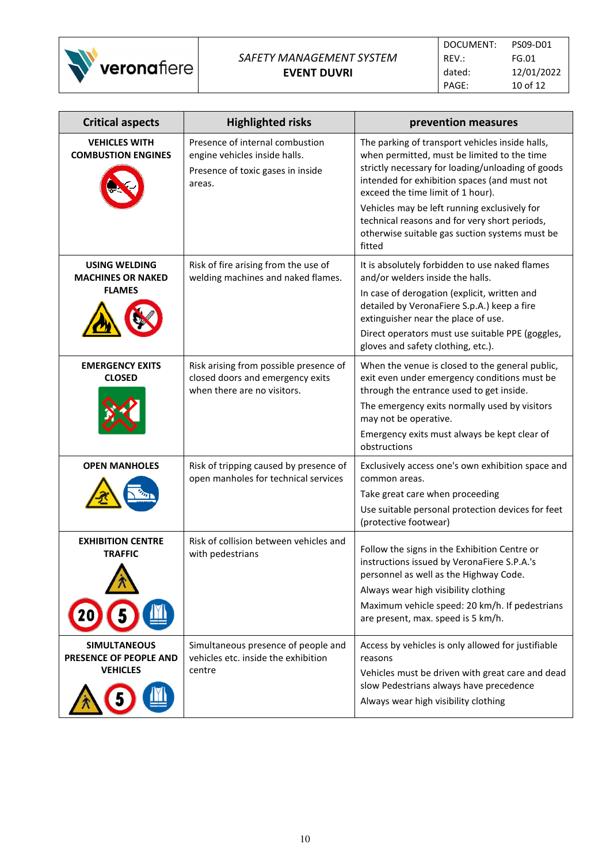

| <b>Critical aspects</b>                                          | <b>Highlighted risks</b>                                                                                        | prevention measures                                                                                                                                                                                                                                                                                                                                                                                   |
|------------------------------------------------------------------|-----------------------------------------------------------------------------------------------------------------|-------------------------------------------------------------------------------------------------------------------------------------------------------------------------------------------------------------------------------------------------------------------------------------------------------------------------------------------------------------------------------------------------------|
| <b>VEHICLES WITH</b><br><b>COMBUSTION ENGINES</b>                | Presence of internal combustion<br>engine vehicles inside halls.<br>Presence of toxic gases in inside<br>areas. | The parking of transport vehicles inside halls,<br>when permitted, must be limited to the time<br>strictly necessary for loading/unloading of goods<br>intended for exhibition spaces (and must not<br>exceed the time limit of 1 hour).<br>Vehicles may be left running exclusively for<br>technical reasons and for very short periods,<br>otherwise suitable gas suction systems must be<br>fitted |
| USING WELDING<br><b>MACHINES OR NAKED</b><br><b>FLAMES</b>       | Risk of fire arising from the use of<br>welding machines and naked flames.                                      | It is absolutely forbidden to use naked flames<br>and/or welders inside the halls.<br>In case of derogation (explicit, written and<br>detailed by VeronaFiere S.p.A.) keep a fire<br>extinguisher near the place of use.<br>Direct operators must use suitable PPE (goggles,<br>gloves and safety clothing, etc.).                                                                                    |
| <b>EMERGENCY EXITS</b><br><b>CLOSED</b>                          | Risk arising from possible presence of<br>closed doors and emergency exits<br>when there are no visitors.       | When the venue is closed to the general public,<br>exit even under emergency conditions must be<br>through the entrance used to get inside.<br>The emergency exits normally used by visitors<br>may not be operative.<br>Emergency exits must always be kept clear of<br>obstructions                                                                                                                 |
| <b>OPEN MANHOLES</b>                                             | Risk of tripping caused by presence of<br>open manholes for technical services                                  | Exclusively access one's own exhibition space and<br>common areas.<br>Take great care when proceeding<br>Use suitable personal protection devices for feet<br>(protective footwear)                                                                                                                                                                                                                   |
| <b>EXHIBITION CENTRE</b><br><b>TRAFFIC</b>                       | Risk of collision between vehicles and<br>with pedestrians                                                      | Follow the signs in the Exhibition Centre or<br>instructions issued by VeronaFiere S.P.A.'s<br>personnel as well as the Highway Code.<br>Always wear high visibility clothing<br>Maximum vehicle speed: 20 km/h. If pedestrians<br>are present, max. speed is 5 km/h.                                                                                                                                 |
| <b>SIMULTANEOUS</b><br>PRESENCE OF PEOPLE AND<br><b>VEHICLES</b> | Simultaneous presence of people and<br>vehicles etc. inside the exhibition<br>centre                            | Access by vehicles is only allowed for justifiable<br>reasons<br>Vehicles must be driven with great care and dead<br>slow Pedestrians always have precedence<br>Always wear high visibility clothing                                                                                                                                                                                                  |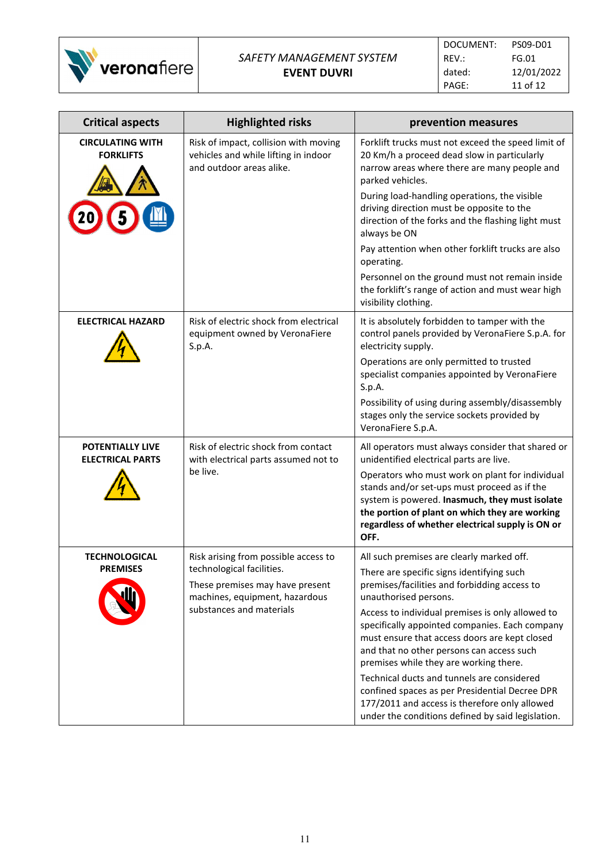

| <b>Critical aspects</b>                     | <b>Highlighted risks</b>                                                                                                   | prevention measures                                                                                                                                                                                                                                             |
|---------------------------------------------|----------------------------------------------------------------------------------------------------------------------------|-----------------------------------------------------------------------------------------------------------------------------------------------------------------------------------------------------------------------------------------------------------------|
| <b>CIRCULATING WITH</b><br><b>FORKLIFTS</b> | Risk of impact, collision with moving<br>vehicles and while lifting in indoor<br>and outdoor areas alike.                  | Forklift trucks must not exceed the speed limit of<br>20 Km/h a proceed dead slow in particularly<br>narrow areas where there are many people and<br>parked vehicles.                                                                                           |
|                                             |                                                                                                                            | During load-handling operations, the visible<br>driving direction must be opposite to the<br>direction of the forks and the flashing light must<br>always be ON                                                                                                 |
|                                             |                                                                                                                            | Pay attention when other forklift trucks are also<br>operating.                                                                                                                                                                                                 |
|                                             |                                                                                                                            | Personnel on the ground must not remain inside<br>the forklift's range of action and must wear high<br>visibility clothing.                                                                                                                                     |
| <b>ELECTRICAL HAZARD</b>                    | Risk of electric shock from electrical<br>equipment owned by VeronaFiere<br>S.p.A.                                         | It is absolutely forbidden to tamper with the<br>control panels provided by VeronaFiere S.p.A. for<br>electricity supply.                                                                                                                                       |
|                                             |                                                                                                                            | Operations are only permitted to trusted<br>specialist companies appointed by VeronaFiere<br>S.p.A.                                                                                                                                                             |
|                                             |                                                                                                                            | Possibility of using during assembly/disassembly<br>stages only the service sockets provided by<br>VeronaFiere S.p.A.                                                                                                                                           |
| POTENTIALLY LIVE<br><b>ELECTRICAL PARTS</b> | Risk of electric shock from contact<br>with electrical parts assumed not to                                                | All operators must always consider that shared or<br>unidentified electrical parts are live.                                                                                                                                                                    |
|                                             | be live.                                                                                                                   | Operators who must work on plant for individual<br>stands and/or set-ups must proceed as if the<br>system is powered. Inasmuch, they must isolate<br>the portion of plant on which they are working<br>regardless of whether electrical supply is ON or<br>OFF. |
| <b>TECHNOLOGICAL</b>                        | Risk arising from possible access to                                                                                       | All such premises are clearly marked off.                                                                                                                                                                                                                       |
| <b>PREMISES</b>                             | technological facilities.<br>These premises may have present<br>machines, equipment, hazardous<br>substances and materials | There are specific signs identifying such<br>premises/facilities and forbidding access to<br>unauthorised persons.                                                                                                                                              |
|                                             |                                                                                                                            | Access to individual premises is only allowed to<br>specifically appointed companies. Each company<br>must ensure that access doors are kept closed<br>and that no other persons can access such<br>premises while they are working there.                      |
|                                             |                                                                                                                            | Technical ducts and tunnels are considered<br>confined spaces as per Presidential Decree DPR<br>177/2011 and access is therefore only allowed<br>under the conditions defined by said legislation.                                                              |